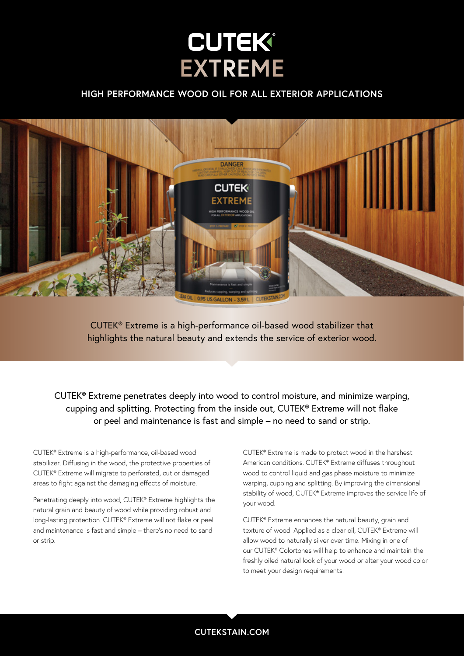# **CUTEK® EXTREME**

# **HIGH PERFORMANCE WOOD OIL FOR ALL EXTERIOR APPLICATIONS**



CUTEK® Extreme is a high-performance oil-based wood stabilizer that highlights the natural beauty and extends the service of exterior wood.

CUTEK® Extreme penetrates deeply into wood to control moisture, and minimize warping, cupping and splitting. Protecting from the inside out, CUTEK® Extreme will not flake or peel and maintenance is fast and simple – no need to sand or strip.

CUTEK® Extreme is a high-performance, oil-based wood stabilizer. Diffusing in the wood, the protective properties of CUTEK® Extreme will migrate to perforated, cut or damaged areas to fight against the damaging effects of moisture.

Penetrating deeply into wood, CUTEK® Extreme highlights the natural grain and beauty of wood while providing robust and long-lasting protection. CUTEK® Extreme will not flake or peel and maintenance is fast and simple – there's no need to sand or strip.

CUTEK® Extreme is made to protect wood in the harshest American conditions. CUTEK® Extreme diffuses throughout wood to control liquid and gas phase moisture to minimize warping, cupping and splitting. By improving the dimensional stability of wood, CUTEK® Extreme improves the service life of your wood.

CUTEK® Extreme enhances the natural beauty, grain and texture of wood. Applied as a clear oil, CUTEK® Extreme will allow wood to naturally silver over time. Mixing in one of our CUTEK® Colortones will help to enhance and maintain the freshly oiled natural look of your wood or alter your wood color to meet your design requirements.

**CUTEKSTAIN.COM**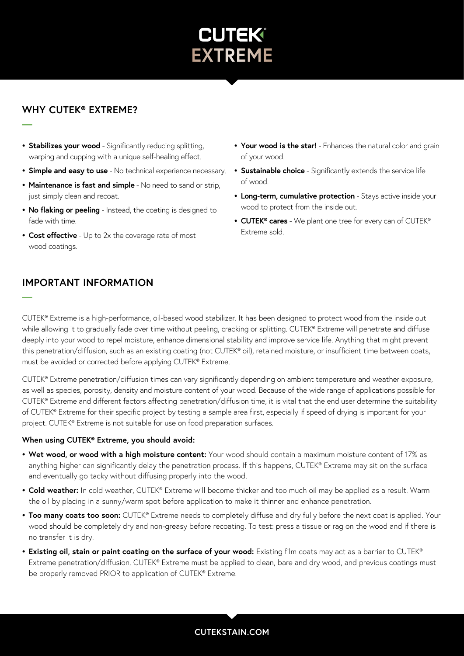

# **WHY CUTEK® EXTREME?**

**—**

**—**

- **• Stabilizes your wood** Significantly reducing splitting, warping and cupping with a unique self-healing effect.
- **• Simple and easy to use** No technical experience necessary.
- **• Maintenance is fast and simple** No need to sand or strip, just simply clean and recoat.
- **• No flaking or peeling** Instead, the coating is designed to fade with time.
- **• Cost effective** Up to 2x the coverage rate of most wood coatings.
- **IMPORTANT INFORMATION**
- **• Your wood is the star!** Enhances the natural color and grain of your wood.
- **• Sustainable choice** Significantly extends the service life of wood.
- **• Long-term, cumulative protection** Stays active inside your wood to protect from the inside out.
- **• CUTEK® cares** We plant one tree for every can of CUTEK® Extreme sold.

CUTEK® Extreme is a high-performance, oil-based wood stabilizer. It has been designed to protect wood from the inside out while allowing it to gradually fade over time without peeling, cracking or splitting. CUTEK® Extreme will penetrate and diffuse deeply into your wood to repel moisture, enhance dimensional stability and improve service life. Anything that might prevent this penetration/diffusion, such as an existing coating (not CUTEK® oil), retained moisture, or insufficient time between coats, must be avoided or corrected before applying CUTEK® Extreme.

CUTEK® Extreme penetration/diffusion times can vary significantly depending on ambient temperature and weather exposure, as well as species, porosity, density and moisture content of your wood. Because of the wide range of applications possible for CUTEK® Extreme and different factors affecting penetration/diffusion time, it is vital that the end user determine the suitability of CUTEK® Extreme for their specific project by testing a sample area first, especially if speed of drying is important for your project. CUTEK® Extreme is not suitable for use on food preparation surfaces.

## **When using CUTEK® Extreme, you should avoid:**

- **• Wet wood, or wood with a high moisture content:** Your wood should contain a maximum moisture content of 17% as anything higher can significantly delay the penetration process. If this happens, CUTEK® Extreme may sit on the surface and eventually go tacky without diffusing properly into the wood.
- **• Cold weather:** In cold weather, CUTEK® Extreme will become thicker and too much oil may be applied as a result. Warm the oil by placing in a sunny/warm spot before application to make it thinner and enhance penetration.
- **• Too many coats too soon:** CUTEK® Extreme needs to completely diffuse and dry fully before the next coat is applied. Your wood should be completely dry and non-greasy before recoating. To test: press a tissue or rag on the wood and if there is no transfer it is dry.
- **• Existing oil, stain or paint coating on the surface of your wood:** Existing film coats may act as a barrier to CUTEK® Extreme penetration/diffusion. CUTEK® Extreme must be applied to clean, bare and dry wood, and previous coatings must be properly removed PRIOR to application of CUTEK® Extreme.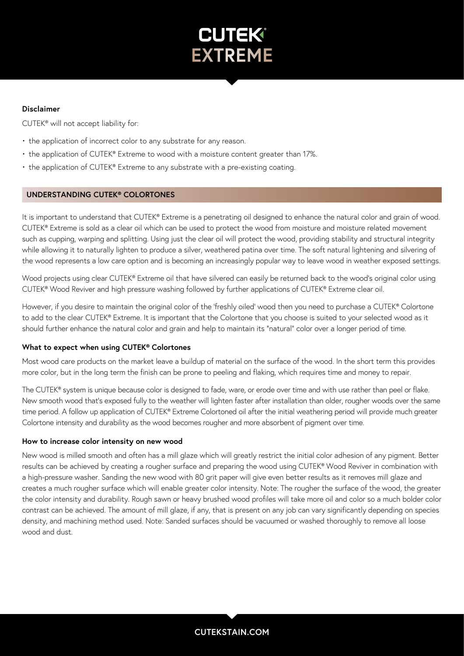

## **Disclaimer**

CUTEK® will not accept liability for:

- the application of incorrect color to any substrate for any reason.
- the application of CUTEK® Extreme to wood with a moisture content greater than 17%.
- the application of CUTEK® Extreme to any substrate with a pre-existing coating.

#### **UNDERSTANDING CUTEK® COLORTONES**

It is important to understand that CUTEK® Extreme is a penetrating oil designed to enhance the natural color and grain of wood. CUTEK® Extreme is sold as a clear oil which can be used to protect the wood from moisture and moisture related movement such as cupping, warping and splitting. Using just the clear oil will protect the wood, providing stability and structural integrity while allowing it to naturally lighten to produce a silver, weathered patina over time. The soft natural lightening and silvering of the wood represents a low care option and is becoming an increasingly popular way to leave wood in weather exposed settings.

Wood projects using clear CUTEK® Extreme oil that have silvered can easily be returned back to the wood's original color using CUTEK® Wood Reviver and high pressure washing followed by further applications of CUTEK® Extreme clear oil.

However, if you desire to maintain the original color of the 'freshly oiled' wood then you need to purchase a CUTEK® Colortone to add to the clear CUTEK® Extreme. It is important that the Colortone that you choose is suited to your selected wood as it should further enhance the natural color and grain and help to maintain its "natural" color over a longer period of time.

#### **What to expect when using CUTEK® Colortones**

Most wood care products on the market leave a buildup of material on the surface of the wood. In the short term this provides more color, but in the long term the finish can be prone to peeling and flaking, which requires time and money to repair.

The CUTEK® system is unique because color is designed to fade, ware, or erode over time and with use rather than peel or flake. New smooth wood that's exposed fully to the weather will lighten faster after installation than older, rougher woods over the same time period. A follow up application of CUTEK® Extreme Colortoned oil after the initial weathering period will provide much greater Colortone intensity and durability as the wood becomes rougher and more absorbent of pigment over time.

#### **How to increase color intensity on new wood**

New wood is milled smooth and often has a mill glaze which will greatly restrict the initial color adhesion of any pigment. Better results can be achieved by creating a rougher surface and preparing the wood using CUTEK® Wood Reviver in combination with a high-pressure washer. Sanding the new wood with 80 grit paper will give even better results as it removes mill glaze and creates a much rougher surface which will enable greater color intensity. Note: The rougher the surface of the wood, the greater the color intensity and durability. Rough sawn or heavy brushed wood profiles will take more oil and color so a much bolder color contrast can be achieved. The amount of mill glaze, if any, that is present on any job can vary significantly depending on species density, and machining method used. Note: Sanded surfaces should be vacuumed or washed thoroughly to remove all loose wood and dust.

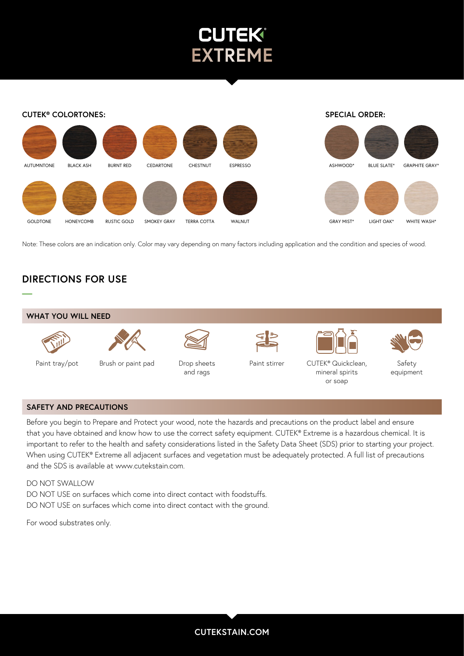



Note: These colors are an indication only. Color may vary depending on many factors including application and the condition and species of wood.

# **DIRECTIONS FOR USE**



#### **SAFETY AND PRECAUTIONS**

Before you begin to Prepare and Protect your wood, note the hazards and precautions on the product label and ensure that you have obtained and know how to use the correct safety equipment. CUTEK® Extreme is a hazardous chemical. It is important to refer to the health and safety considerations listed in the Safety Data Sheet (SDS) prior to starting your project. When using CUTEK® Extreme all adjacent surfaces and vegetation must be adequately protected. A full list of precautions and the SDS is available at www.cutekstain.com.

DO NOT SWALLOW DO NOT USE on surfaces which come into direct contact with foodstuffs. DO NOT USE on surfaces which come into direct contact with the ground.

For wood substrates only.

**CUTEKSTAIN.COM**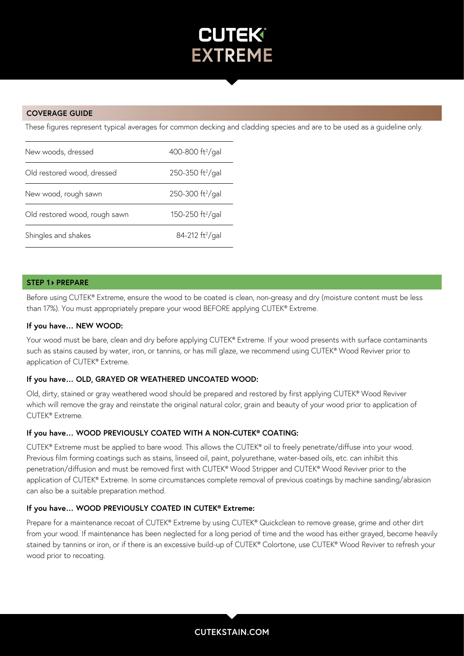

## **COVERAGE GUIDE**

These figures represent typical averages for common decking and cladding species and are to be used as a guideline only.

| New woods, dressed            | 400-800 ft <sup>2</sup> /gal |
|-------------------------------|------------------------------|
| Old restored wood, dressed    | 250-350 ft <sup>2</sup> /gal |
| New wood, rough sawn          | 250-300 ft <sup>2</sup> /gal |
| Old restored wood, rough sawn | 150-250 ft <sup>2</sup> /gal |
| Shingles and shakes           | 84-212 ft <sup>2</sup> /gal  |

#### **STEP 1 PREPARE**

Before using CUTEK® Extreme, ensure the wood to be coated is clean, non-greasy and dry (moisture content must be less than 17%). You must appropriately prepare your wood BEFORE applying CUTEK® Extreme.

#### **If you have… NEW WOOD:**

Your wood must be bare, clean and dry before applying CUTEK® Extreme. If your wood presents with surface contaminants such as stains caused by water, iron, or tannins, or has mill glaze, we recommend using CUTEK® Wood Reviver prior to application of CUTEK® Extreme.

## **If you have… OLD, GRAYED OR WEATHERED UNCOATED WOOD:**

Old, dirty, stained or gray weathered wood should be prepared and restored by first applying CUTEK® Wood Reviver which will remove the gray and reinstate the original natural color, grain and beauty of your wood prior to application of CUTEK® Extreme.

#### **If you have… WOOD PREVIOUSLY COATED WITH A NON-CUTEK® COATING:**

CUTEK® Extreme must be applied to bare wood. This allows the CUTEK® oil to freely penetrate/diffuse into your wood. Previous film forming coatings such as stains, linseed oil, paint, polyurethane, water-based oils, etc. can inhibit this penetration/diffusion and must be removed first with CUTEK® Wood Stripper and CUTEK® Wood Reviver prior to the application of CUTEK® Extreme. In some circumstances complete removal of previous coatings by machine sanding/abrasion can also be a suitable preparation method.

# **If you have… WOOD PREVIOUSLY COATED IN CUTEK® Extreme:**

Prepare for a maintenance recoat of CUTEK® Extreme by using CUTEK® Quickclean to remove grease, grime and other dirt from your wood. If maintenance has been neglected for a long period of time and the wood has either grayed, become heavily stained by tannins or iron, or if there is an excessive build-up of CUTEK® Colortone, use CUTEK® Wood Reviver to refresh your wood prior to recoating.

**CUTEKSTAIN.COM**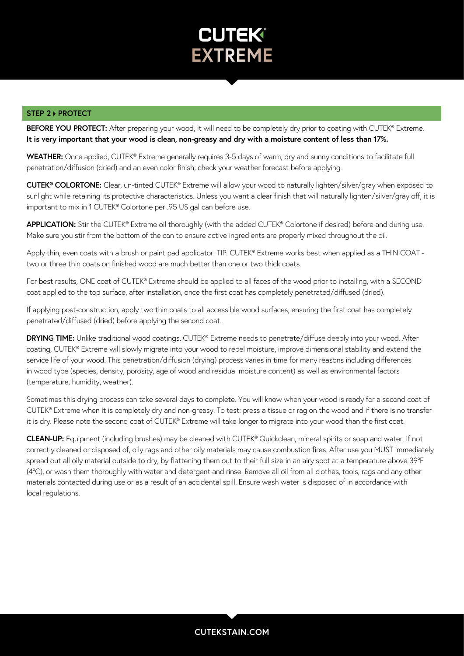

#### **STEP 2 ▶ PROTECT**

**BEFORE YOU PROTECT:** After preparing your wood, it will need to be completely dry prior to coating with CUTEK® Extreme. **It is very important that your wood is clean, non-greasy and dry with a moisture content of less than 17%.**

**WEATHER:** Once applied, CUTEK® Extreme generally requires 3-5 days of warm, dry and sunny conditions to facilitate full penetration/diffusion (dried) and an even color finish; check your weather forecast before applying.

**CUTEK® COLORTONE:** Clear, un-tinted CUTEK® Extreme will allow your wood to naturally lighten/silver/gray when exposed to sunlight while retaining its protective characteristics. Unless you want a clear finish that will naturally lighten/silver/gray off, it is important to mix in 1 CUTEK® Colortone per .95 US gal can before use.

**APPLICATION:** Stir the CUTEK® Extreme oil thoroughly (with the added CUTEK® Colortone if desired) before and during use. Make sure you stir from the bottom of the can to ensure active ingredients are properly mixed throughout the oil.

Apply thin, even coats with a brush or paint pad applicator. TIP: CUTEK® Extreme works best when applied as a THIN COAT two or three thin coats on finished wood are much better than one or two thick coats.

For best results, ONE coat of CUTEK® Extreme should be applied to all faces of the wood prior to installing, with a SECOND coat applied to the top surface, after installation, once the first coat has completely penetrated/diffused (dried).

If applying post-construction, apply two thin coats to all accessible wood surfaces, ensuring the first coat has completely penetrated/diffused (dried) before applying the second coat.

**DRYING TIME:** Unlike traditional wood coatings, CUTEK® Extreme needs to penetrate/diffuse deeply into your wood. After coating, CUTEK® Extreme will slowly migrate into your wood to repel moisture, improve dimensional stability and extend the service life of your wood. This penetration/diffusion (drying) process varies in time for many reasons including differences in wood type (species, density, porosity, age of wood and residual moisture content) as well as environmental factors (temperature, humidity, weather).

Sometimes this drying process can take several days to complete. You will know when your wood is ready for a second coat of CUTEK® Extreme when it is completely dry and non-greasy. To test: press a tissue or rag on the wood and if there is no transfer it is dry. Please note the second coat of CUTEK® Extreme will take longer to migrate into your wood than the first coat.

**CLEAN-UP:** Equipment (including brushes) may be cleaned with CUTEK® Quickclean, mineral spirits or soap and water. If not correctly cleaned or disposed of, oily rags and other oily materials may cause combustion fires. After use you MUST immediately spread out all oily material outside to dry, by flattening them out to their full size in an airy spot at a temperature above 39°F (4ºC), or wash them thoroughly with water and detergent and rinse. Remove all oil from all clothes, tools, rags and any other materials contacted during use or as a result of an accidental spill. Ensure wash water is disposed of in accordance with local regulations.